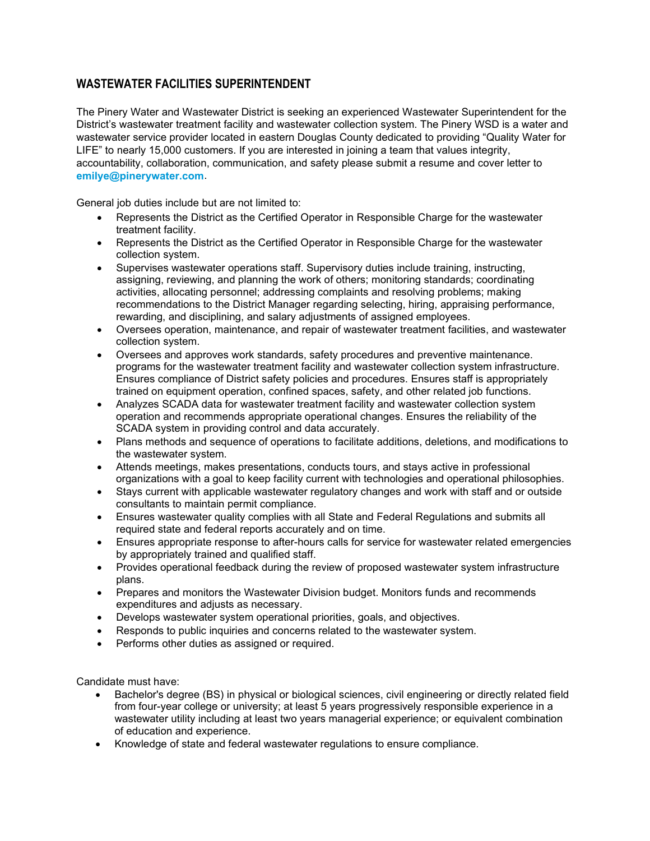## **WASTEWATER FACILITIES SUPERINTENDENT**

The Pinery Water and Wastewater District is seeking an experienced Wastewater Superintendent for the District's wastewater treatment facility and wastewater collection system. The Pinery WSD is a water and wastewater service provider located in eastern Douglas County dedicated to providing "Quality Water for LIFE" to nearly 15,000 customers. If you are interested in joining a team that values integrity, accountability, collaboration, communication, and safety please submit a resume and cover letter to **[emilye@pinerywater.com](mailto:emilye@pinerywater.com)**.

General job duties include but are not limited to:

- Represents the District as the Certified Operator in Responsible Charge for the wastewater treatment facility.
- Represents the District as the Certified Operator in Responsible Charge for the wastewater collection system.
- Supervises wastewater operations staff. Supervisory duties include training, instructing, assigning, reviewing, and planning the work of others; monitoring standards; coordinating activities, allocating personnel; addressing complaints and resolving problems; making recommendations to the District Manager regarding selecting, hiring, appraising performance, rewarding, and disciplining, and salary adjustments of assigned employees.
- Oversees operation, maintenance, and repair of wastewater treatment facilities, and wastewater collection system.
- Oversees and approves work standards, safety procedures and preventive maintenance. programs for the wastewater treatment facility and wastewater collection system infrastructure. Ensures compliance of District safety policies and procedures. Ensures staff is appropriately trained on equipment operation, confined spaces, safety, and other related job functions.
- Analyzes SCADA data for wastewater treatment facility and wastewater collection system operation and recommends appropriate operational changes. Ensures the reliability of the SCADA system in providing control and data accurately.
- Plans methods and sequence of operations to facilitate additions, deletions, and modifications to the wastewater system.
- Attends meetings, makes presentations, conducts tours, and stays active in professional organizations with a goal to keep facility current with technologies and operational philosophies.
- Stays current with applicable wastewater regulatory changes and work with staff and or outside consultants to maintain permit compliance.
- Ensures wastewater quality complies with all State and Federal Regulations and submits all required state and federal reports accurately and on time.
- Ensures appropriate response to after-hours calls for service for wastewater related emergencies by appropriately trained and qualified staff.
- Provides operational feedback during the review of proposed wastewater system infrastructure plans.
- Prepares and monitors the Wastewater Division budget. Monitors funds and recommends expenditures and adjusts as necessary.
- Develops wastewater system operational priorities, goals, and objectives.
- Responds to public inquiries and concerns related to the wastewater system.
- Performs other duties as assigned or required.

Candidate must have:

- Bachelor's degree (BS) in physical or biological sciences, civil engineering or directly related field from four-year college or university; at least 5 years progressively responsible experience in a wastewater utility including at least two years managerial experience; or equivalent combination of education and experience.
- Knowledge of state and federal wastewater regulations to ensure compliance.